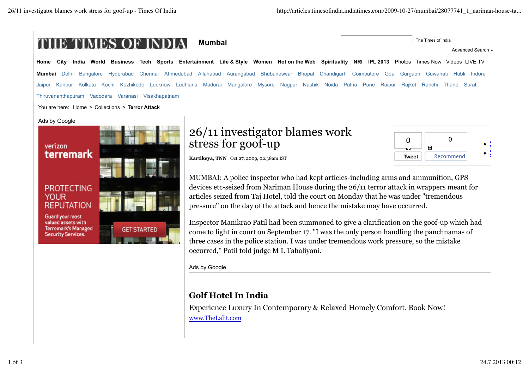valued assets with **Terremark's Managed** 

**Security Services.** 

**GET STARTED** 



Inspector Manikrao Patil had been summoned to give a clarification on the goof-up which had come to light in court on September 17. "I was the only person handling the panchnamas of three cases in the police station. I was under tremendous work pressure, so the mistake occurred,'' Patil told judge M L Tahaliyani.

Ads by Google

## **Golf Hotel In India**

Experience Luxury In Contemporary & Relaxed Homely Comfort. Book Now! www.TheLalit.com